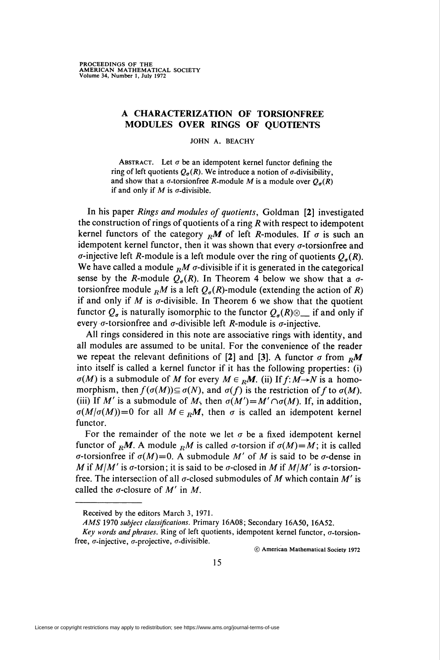## A CHARACTERIZATION OF TORSIONFREE MODULES OVER RINGS OF QUOTIENTS

JOHN A. BEACHY

ABSTRACT. Let  $\sigma$  be an idempotent kernel functor defining the ring of left quotients  $Q_{\sigma}(R)$ . We introduce a notion of  $\sigma$ -divisibility, and show that a  $\sigma$ -torsionfree *R*-module *M* is a module over  $Q_{\sigma}(R)$ if and only if  $M$  is  $\sigma$ -divisible.

In his paper Rings and modules of quotients, Goldman [2] investigated the construction of rings of quotients of a ring  $R$  with respect to idempotent kernel functors of the category  $<sub>R</sub>M$  of left R-modules. If  $\sigma$  is such an</sub> idempotent kernel functor, then it was shown that every  $\sigma$ -torsionfree and  $\sigma$ -injective left *R*-module is a left module over the ring of quotients  $Q_{\sigma}(R)$ . We have called a module  $<sub>R</sub>M$   $\sigma$ -divisible if it is generated in the categorical</sub> sense by the R-module  $Q_{\sigma}(R)$ . In Theorem 4 below we show that a  $\sigma$ torsionfree module  $_R M$  is a left  $Q_q(R)$ -module (extending the action of R) if and only if  $M$  is  $\sigma$ -divisible. In Theorem 6 we show that the quotient functor  $Q_{\sigma}$  is naturally isomorphic to the functor  $Q_{\sigma}(R) \otimes$  if and only if every  $\sigma$ -torsionfree and  $\sigma$ -divisible left *R*-module is  $\sigma$ -injective.

All rings considered in this note are associative rings with identity, and all modules are assumed to be unital. For the convenience of the reader we repeat the relevant definitions of [2] and [3]. A functor  $\sigma$  from  $\epsilon_{\rm R}M$ into itself is called a kernel functor if it has the following properties: (i)  $\sigma(M)$  is a submodule of M for every  $M \in {}_R M$ . (ii) If  $f: M \rightarrow N$  is a homomorphism, then  $f(\sigma(M)) \subseteq \sigma(N)$ , and  $\sigma(f)$  is the restriction of f to  $\sigma(M)$ . (iii) If M' is a submodule of M, then  $\sigma(M') = M' \cap \sigma(M)$ . If, in addition,  $\sigma(M/\sigma(M))=0$  for all  $M \in {}_R M$ , then  $\sigma$  is called an idempotent kernel functor.

For the remainder of the note we let  $\sigma$  be a fixed idempotent kernel functor of <sub>R</sub>M. A module <sub>R</sub>M is called  $\sigma$ -torsion if  $\sigma(M) = M$ ; it is called  $\sigma$ -torsionfree if  $\sigma(M)=0$ . A submodule M' of M is said to be  $\sigma$ -dense in M if M $\vert M'$  is  $\sigma$ -torsion; it is said to be  $\sigma$ -closed in M if M $\vert M'$  is  $\sigma$ -torsionfree. The intersection of all  $\sigma$ -closed submodules of M which contain M' is called the  $\sigma$ -closure of M' in M.

© American Mathematical Society 1972

Received by the editors March 3, 1971.

AMS 1970 subject classifications. Primary 16A08; Secondary 16A50, 16A52.

Key words and phrases. Ring of left quotients, idempotent kernel functor,  $\sigma$ -torsionfree,  $\sigma$ -injective,  $\sigma$ -projective,  $\sigma$ -divisible.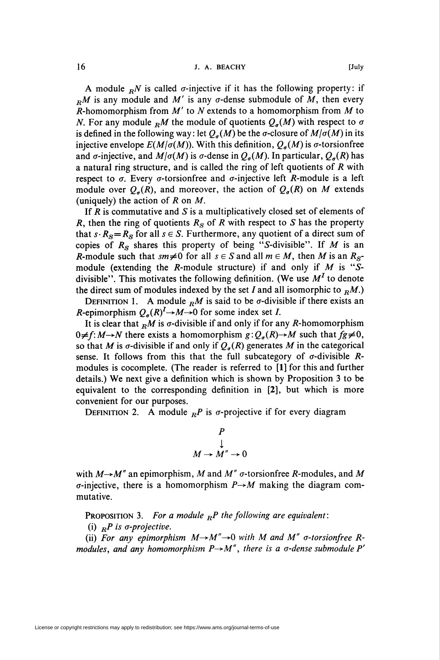A module  $_R N$  is called  $\sigma$ -injective if it has the following property: if  $_R M$  is any module and M' is any  $\sigma$ -dense submodule of M, then every R-homomorphism from  $M'$  to N extends to a homomorphism from  $M$  to N. For any module  $_R M$  the module of quotients  $Q_{\sigma}(M)$  with respect to  $\sigma$ is defined in the following way: let  $Q_{\sigma}(M)$  be the  $\sigma$ -closure of  $M/\sigma(M)$  in its injective envelope  $E(M/\sigma(M))$ . With this definition,  $Q_{\sigma}(M)$  is  $\sigma$ -torsionfree and  $\sigma$ -injective, and  $M/\sigma(M)$  is  $\sigma$ -dense in  $Q_{\sigma}(M)$ . In particular,  $Q_{\sigma}(R)$  has a natural ring structure, and is called the ring of left quotients of R with respect to  $\sigma$ . Every  $\sigma$ -torsionfree and  $\sigma$ -injective left *R*-module is a left module over  $Q_{\sigma}(R)$ , and moreover, the action of  $Q_{\sigma}(R)$  on M extends (uniquely) the action of  $R$  on  $M$ .

If  $R$  is commutative and  $S$  is a multiplicatively closed set of elements of R, then the ring of quotients  $R<sub>S</sub>$  of R with respect to S has the property that  $s \cdot R_S = R_S$  for all  $s \in S$ . Furthermore, any quotient of a direct sum of copies of  $R_S$  shares this property of being "S-divisible". If M is an R-module such that  $sm \neq 0$  for all  $s \in S$  and all  $m \in M$ , then M is an  $R_{S}$ module (extending the R-module structure) if and only if  $M$  is "Sdivisible". This motivates the following definition. (We use  $M<sup>I</sup>$  to denote the direct sum of modules indexed by the set I and all isomorphic to  $_R M$ .)

DEFINITION 1. A module  $<sub>R</sub>M$  is said to be  $\sigma$ -divisible if there exists an</sub> R-epimorphism  $Q_{\sigma}(R)^{1}\rightarrow M\rightarrow 0$  for some index set I.

It is clear that  $\mathbb{R}M$  is  $\sigma$ -divisible if and only if for any R-homomorphism  $0 \neq f: M \rightarrow N$  there exists a homomorphism  $g:Q_a(R) \rightarrow M$  such that  $fg \neq 0$ , so that M is  $\sigma$ -divisible if and only if  $Q_{\sigma}(R)$  generates M in the categorical sense. It follows from this that the full subcategory of  $\sigma$ -divisible Rmodules is cocomplete. (The reader is referred to [1] for this and further details.) We next give a definition which is shown by Proposition 3 to be equivalent to the corresponding definition in [2], but which is more convenient for our purposes.

DEFINITION 2. A module  ${}_{R}P$  is  $\sigma$ -projective if for every diagram

$$
\begin{array}{c}\nP \\
\downarrow \\
M \to M'' \to 0\n\end{array}
$$

with  $M \rightarrow M''$  an epimorphism, M and M''  $\sigma$ -torsionfree R-modules, and M  $\sigma$ -injective, there is a homomorphism  $P \rightarrow M$  making the diagram commutative.

**PROPOSITION 3.** For a module  ${}_{R}P$  the following are equivalent:

(i)  ${}_{R}P$  is  $\sigma$ -projective.

(ii) For any epimorphism  $M \rightarrow M'' \rightarrow 0$  with M and M"  $\sigma$ -torsionfree Rmodules, and any homomorphism  $P\rightarrow M''$ , there is a  $\sigma$ -dense submodule P'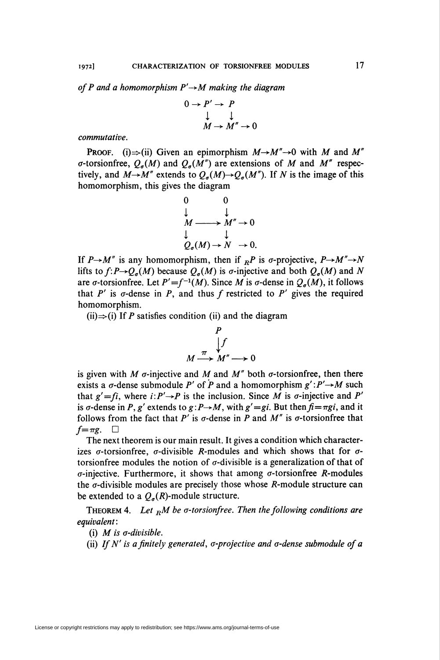of P and a homomorphism  $P' \rightarrow M$  making the diagram

$$
0 \to P' \to P
$$
  

$$
\downarrow \qquad \qquad \downarrow
$$
  

$$
M \to M'' \to 0
$$

commutative.

**PROOF.** (i)  $\Rightarrow$  (ii) Given an epimorphism  $M \rightarrow M'' \rightarrow 0$  with M and M''  $\sigma$ -torsionfree,  $Q_{\sigma}(M)$  and  $Q_{\sigma}(M'')$  are extensions of M and M'' respectively, and  $M \rightarrow M''$  extends to  $Q_{\sigma}(M) \rightarrow Q_{\sigma}(M'')$ . If N is the image of this homomorphism, this gives the diagram

$$
\begin{array}{ccc}\n0 & 0 \\
\downarrow & \downarrow \\
M \longrightarrow M'' \to 0 \\
\downarrow & \downarrow \\
Q_{\sigma}(M) \to N \to 0.\n\end{array}
$$

If  $P\rightarrow M''$  is any homomorphism, then if  ${}_{R}P$  is  $\sigma$ -projective,  $P\rightarrow M''\rightarrow N$ lifts to  $f: P \rightarrow Q_a(M)$  because  $Q_a(M)$  is  $\sigma$ -injective and both  $Q_a(M)$  and N are  $\sigma$ -torsionfree. Let  $P' = f^{-1}(M)$ . Since M is  $\sigma$ -dense in  $Q_{\sigma}(M)$ , it follows that  $P'$  is  $\sigma$ -dense in P, and thus f restricted to P' gives the required homomorphism.

(ii) $\Rightarrow$ (i) If P satisfies condition (ii) and the diagram

$$
\begin{array}{c}\nP \\
\downarrow f \\
M \xrightarrow{\pi} M'' \longrightarrow 0\n\end{array}
$$

is given with M  $\sigma$ -injective and M and M'' both  $\sigma$ -torsionfree, then there exists a  $\sigma$ -dense submodule P' of P and a homomorphism  $g' : P' \rightarrow M$  such that  $g' = fi$ , where  $i: P' \rightarrow P$  is the inclusion. Since  $\overline{M}$  is  $\sigma$ -injective and  $P'$ is  $\sigma$ -dense in P, g' extends to  $g: P \rightarrow M$ , with  $g' = gi$ . But then  $f = \pi gi$ , and it follows from the fact that P' is  $\sigma$ -dense in P and M'' is  $\sigma$ -torsionfree that  $f=\pi g$ .  $\Box$ 

The next theorem is our main result. It gives a condition which characterizes  $\sigma$ -torsionfree,  $\sigma$ -divisible *R*-modules and which shows that for  $\sigma$ torsionfree modules the notion of  $\sigma$ -divisible is a generalization of that of  $\sigma$ -injective. Furthermore, it shows that among  $\sigma$ -torsionfree *R*-modules the  $\sigma$ -divisible modules are precisely those whose  $R$ -module structure can be extended to a  $Q_{\sigma}(R)$ -module structure.

THEOREM 4. Let  $<sub>R</sub>M$  be  $\sigma$ -torsionfree. Then the following conditions are</sub> equivalent :

(i) M is o-divisible.

(ii) If  $N'$  is a finitely generated,  $\sigma$ -projective and  $\sigma$ -dense submodule of a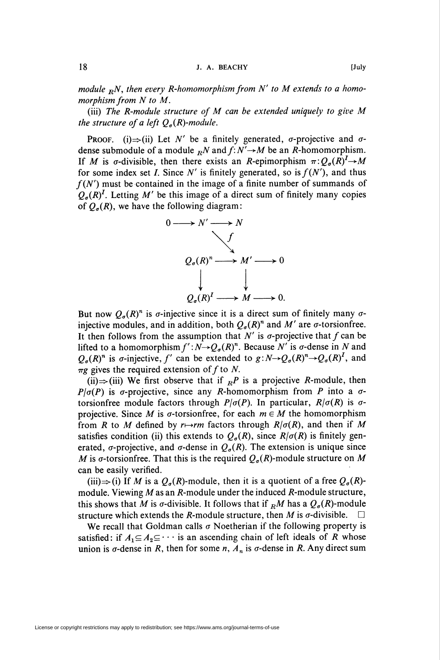module  $_R$ N, then every R-homomorphism from N' to M extends to a homomorphism from N to M.

(iii) The R-module structure of M can be extended uniquely to give M the structure of a left  $Q_{\sigma}(R)$ -module.

**PROOF.** (i)  $\Rightarrow$  (ii) Let N' be a finitely generated,  $\sigma$ -projective and  $\sigma$ dense submodule of a module  ${}_{R}N$  and  $f: N' \rightarrow M$  be an R-homomorphism. If M is  $\sigma$ -divisible, then there exists an R-epimorphism  $\pi:Q_{\sigma}(R)^{1}\rightarrow M$ for some index set I. Since N' is finitely generated, so is  $f(N')$ , and thus  $f(N')$  must be contained in the image of a finite number of summands of  $Q_{\sigma}(R)^{I}$ . Letting M' be this image of a direct sum of finitely many copies of  $Q_{\sigma}(R)$ , we have the following diagram:



But now  $Q_{\sigma}(R)^n$  is  $\sigma$ -injective since it is a direct sum of finitely many  $\sigma$ injective modules, and in addition, both  $Q_{\sigma}(R)^n$  and M' are  $\sigma$ -torsionfree. It then follows from the assumption that  $N'$  is  $\sigma$ -projective that f can be lifted to a homomorphism  $f':N\rightarrow Q_{\sigma}(R)^n$ . Because N' is  $\sigma$ -dense in N and  $Q_{\sigma}(R)^n$  is  $\sigma$ -injective, f' can be extended to  $g: N \rightarrow Q_{\sigma}(R)^n \rightarrow Q_{\sigma}(R)^I$ , and  $\pi g$  gives the required extension of f to N.

(ii)  $\Rightarrow$  (iii) We first observe that if  $_R P$  is a projective R-module, then  $P/\sigma(P)$  is  $\sigma$ -projective, since any R-homomorphism from P into a  $\sigma$ torsionfree module factors through  $P/\sigma(P)$ . In particular,  $R/\sigma(R)$  is  $\sigma$ projective. Since M is  $\sigma$ -torsionfree, for each  $m \in M$  the homomorphism from R to M defined by  $r \mapsto rm$  factors through  $R/\sigma(R)$ , and then if M satisfies condition (ii) this extends to  $Q_{\sigma}(R)$ , since  $R/\sigma(R)$  is finitely generated,  $\sigma$ -projective, and  $\sigma$ -dense in  $Q_{\sigma}(R)$ . The extension is unique since M is  $\sigma$ -torsionfree. That this is the required  $Q_{\sigma}(R)$ -module structure on M can be easily verified.

(iii) $\Rightarrow$  (i) If M is a  $Q_a(R)$ -module, then it is a quotient of a free  $Q_a(R)$ module. Viewing M as an R-module under the induced R-module structure, this shows that M is  $\sigma$ -divisible. It follows that if  $_R M$  has a  $Q_\sigma(R)$ -module structure which extends the R-module structure, then M is  $\sigma$ -divisible.  $\square$ 

We recall that Goldman calls  $\sigma$  Noetherian if the following property is satisfied: if  $A_1 \subseteq A_2 \subseteq \cdots$  is an ascending chain of left ideals of R whose union is  $\sigma$ -dense in R, then for some n,  $A_n$  is  $\sigma$ -dense in R. Any direct sum